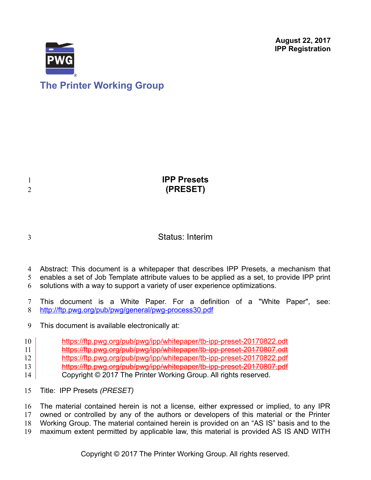**August 22, 2017 IPP Registration**



| <b>IPP Presets</b><br>(PRESET) |
|--------------------------------|
|                                |

3

1 2

### Status: Interim

- Abstract: This document is a whitepaper that describes IPP Presets, a mechanism that 4
- enables a set of Job Template attribute values to be applied as a set, to provide IPP print 5
- solutions with a way to support a variety of user experience optimizations. 6
- This document is a White Paper. For a definition of a "White Paper", see: <http://ftp.pwg.org/pub/pwg/general/pwg-process30.pdf> 7 8
- This document is available electronically at: 9
- <https://ftp.pwg.org/pub/pwg/ipp/whitepaper/tb-ipp-preset-20170822.odt> 10
- <https://ftp.pwg.org/pub/pwg/ipp/whitepaper/tb-ipp-preset-20170807.odt> 11
- <https://ftp.pwg.org/pub/pwg/ipp/whitepaper/tb-ipp-preset-20170822.pdf> 12
- <https://ftp.pwg.org/pub/pwg/ipp/whitepaper/tb-ipp-preset-20170807.pdf> 13
- Copyright © 2017 The Printer Working Group. All rights reserved. 14
- Title: IPP Presets *(PRESET)* 15

The material contained herein is not a license, either expressed or implied, to any IPR owned or controlled by any of the authors or developers of this material or the Printer Working Group. The material contained herein is provided on an "AS IS" basis and to the maximum extent permitted by applicable law, this material is provided AS IS AND WITH 16 17 18 19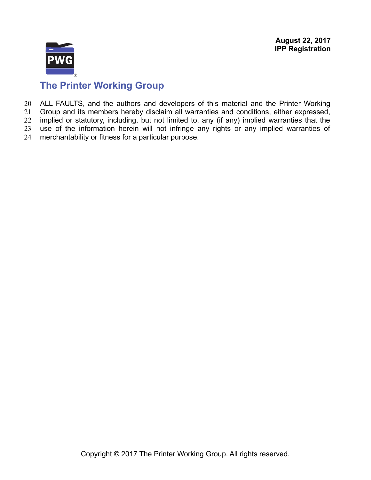

# **The Printer Working Group**

ALL FAULTS, and the authors and developers of this material and the Printer Working 20

Group and its members hereby disclaim all warranties and conditions, either expressed, implied or statutory, including, but not limited to, any (if any) implied warranties that the 21 22

use of the information herein will not infringe any rights or any implied warranties of 23

merchantability or fitness for a particular purpose. 24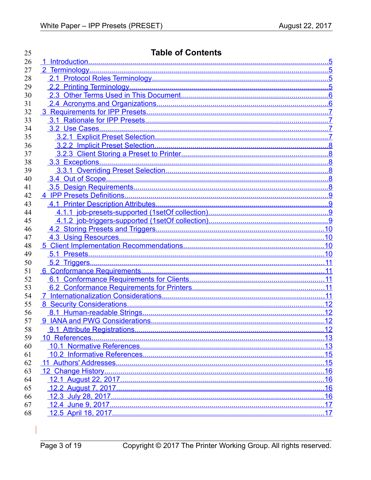| 25 | <b>Table of Contents</b> |     |
|----|--------------------------|-----|
| 26 |                          |     |
| 27 |                          |     |
| 28 |                          |     |
| 29 |                          |     |
| 30 |                          |     |
| 31 |                          |     |
| 32 |                          |     |
| 33 |                          |     |
| 34 |                          |     |
| 35 |                          |     |
| 36 |                          |     |
| 37 |                          |     |
| 38 |                          |     |
| 39 |                          |     |
| 40 |                          |     |
| 41 |                          |     |
| 42 |                          |     |
| 43 |                          |     |
| 44 |                          |     |
| 45 |                          |     |
| 46 |                          |     |
| 47 |                          |     |
| 48 |                          |     |
| 49 |                          |     |
| 50 |                          |     |
| 51 |                          |     |
| 52 |                          |     |
| 53 |                          |     |
| 54 |                          |     |
| 55 |                          |     |
| 56 |                          |     |
| 57 |                          | 12  |
| 58 |                          | .12 |
| 59 |                          |     |
| 60 |                          | 13  |
| 61 |                          |     |
| 62 |                          |     |
| 63 |                          | .16 |
| 64 |                          | .16 |
| 65 |                          | 16  |
| 66 |                          |     |
| 67 |                          |     |
| 68 |                          | .17 |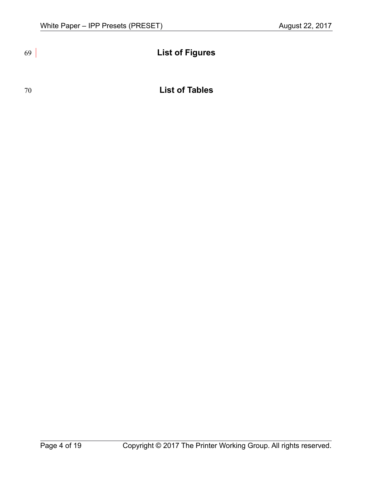# **List of Figures**

### 70

## **List of Tables**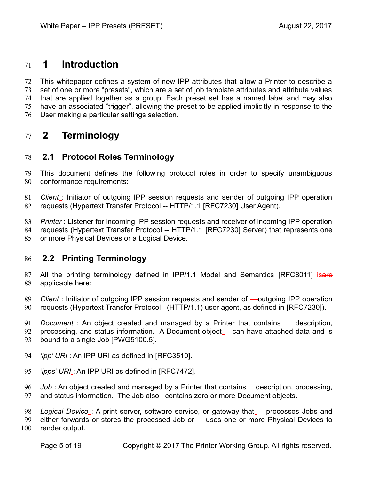### <span id="page-4-3"></span> **1 Introduction** 71

This whitepaper defines a system of new IPP attributes that allow a Printer to describe a set of one or more "presets", which are a set of job template attributes and attribute values that are applied together as a group. Each preset set has a named label and may also have an associated "trigger", allowing the preset to be applied implicitly in response to the User making a particular settings selection. 72 73 74 75 76

### <span id="page-4-2"></span> **2 Terminology** 77

### <span id="page-4-1"></span> **2.1 Protocol Roles Terminology** 78

This document defines the following protocol roles in order to specify unambiguous conformance requirements: 79 80

81 *Client* : Initiator of outgoing IPP session requests and sender of outgoing IPP operation requests (Hypertext Transfer Protocol -- HTTP/1.1 [\[RFC7230\]](#page-14-2) User Agent). 82

83 *Printer*: Listener for incoming IPP session requests and receiver of incoming IPP operation requests (Hypertext Transfer Protocol -- HTTP/1.1 [\[RFC7230\]](#page-14-2) Server) that represents one or more Physical Devices or a Logical Device. 84 85

### <span id="page-4-0"></span> **2.2 Printing Terminology** 86

87 | All the printing terminology defined in IPP/1.1 Model and Semantics [\[RFC8011\]](#page-15-2) isare applicable here: 88

89 *Client*: Initiator of outgoing IPP session requests and sender of outgoing IPP operation 90 requests (Hypertext Transfer Protocol (HTTP/1.1) user agent, as defined in [\[RFC7230\]\)](#page-14-2).

*Document* : An object created and managed by a Printer that contains — description, 91

processing, and status information. A Document object —can have attached data and is bound to a single Job [PWG5100.5]. 92 93

- 94 | *'ipp' URI* : An IPP URI as defined in [\[RFC3510\].](#page-14-3)
- 95 | *'ipps' URI* : An IPP URI as defined in [\[RFC7472\].](#page-15-1)

96 Job: An object created and managed by a Printer that contains —description, processing, and status information. The Job also contains zero or more Document objects. 97

Logical Device\_: A print server, software service, or gateway that\_-processes Jobs and 98

99 either forwards or stores the processed Job or\_—uses one or more Physical Devices to

render output. 100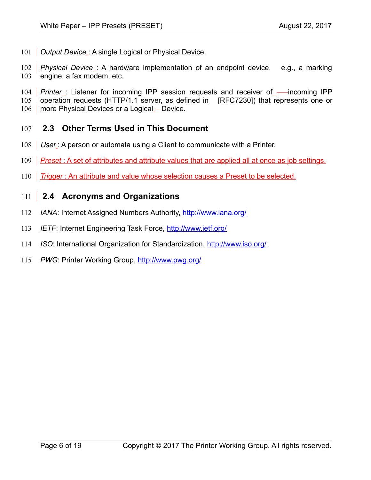101 **Output Device**: A single Logical or Physical Device.

102 *Physical Device* : A hardware implementation of an endpoint device, e.g., a marking engine, a fax modem, etc. 103

104 *Printer* listener for incoming IPP session requests and receiver of emicoming IPP operation requests (HTTP/1.1 server, as defined in [\[RFC7230\]\)](#page-14-2) that represents one or 106 | more Physical Devices or a Logical - Device. 105

### <span id="page-5-1"></span> **2.3 Other Terms Used in This Document** 107

- 108 | User Ng A person or automata using a Client to communicate with a Printer.
- 109 *Preset*: A set of attributes and attribute values that are applied all at once as job settings.
- 110 Trigger: An attribute and value whose selection causes a Preset to be selected.

### <span id="page-5-0"></span> **2.4 Acronyms and Organizations**  $111$

- *IANA*: Internet Assigned Numbers Authority,<http://www.iana.org/> 112
- *IETF*: Internet Engineering Task Force,<http://www.ietf.org/> 113
- *ISO*: International Organization for Standardization,<http://www.iso.org/> 114
- *PWG*: Printer Working Group,<http://www.pwg.org/> 115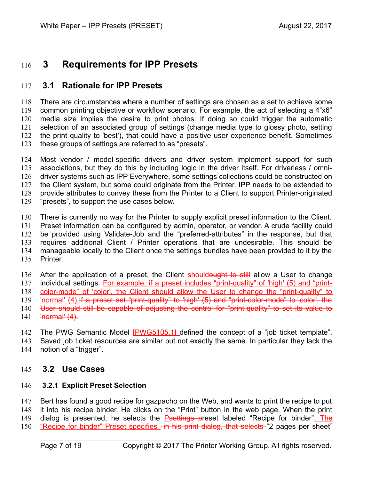### <span id="page-6-3"></span> **3 Requirements for IPP Presets** 116

### <span id="page-6-2"></span> **3.1 Rationale for IPP Presets** 117

There are circumstances where a number of settings are chosen as a set to achieve some common printing objective or workflow scenario. For example, the act of selecting a 4"x6" media size implies the desire to print photos. If doing so could trigger the automatic selection of an associated group of settings (change media type to glossy photo, setting the print quality to 'best'), that could have a positive user experience benefit. Sometimes these groups of settings are referred to as "presets". 118 119 120 121 122 123

Most vendor / model-specific drivers and driver system implement support for such associations, but they do this by including logic in the driver itself. For driverless / omnidriver systems such as IPP Everywhere, some settings collections could be constructed on the Client system, but some could originate from the Printer. IPP needs to be extended to provide attributes to convey these from the Printer to a Client to support Printer-originated "presets", to support the use cases below. 124 125 126 127 128 129

There is currently no way for the Printer to supply explicit preset information to the Client. Preset information can be configured by admin, operator, or vendor. A crude facility could be provided using Validate-Job and the "preferred-attributes" in the response, but that requires additional Client / Printer operations that are undesirable. This should be manageable locally to the Client once the settings bundles have been provided to it by the Printer. 130 131 132 133 134 135

After the application of a preset, the Client shouldought to still allow a User to change individual settings. For example, if a preset includes "print-quality" of 'high' (5) and "printcolor-mode" of 'color', the Client should allow the User to change the "print-quality" to 'normal' (4). If a preset set "print-quality" to 'high' (5) and "print-color-mode" to 'color', the User should still be capable of adjusting the control for "print-quality" to set its value to 'normal' (4). 136 137 138 139 140 141

The PWG Semantic Model [\[PWG5105.1\]](#page-16-1) defined the concept of a "job ticket template". 142

Saved job ticket resources are similar but not exactly the same. In particular they lack the 143

notion of a "trigger". 144

### <span id="page-6-1"></span> **3.2 Use Cases** 145

#### <span id="page-6-0"></span> **3.2.1 Explicit Preset Selection** 146

Bert has found a good recipe for gazpacho on the Web, and wants to print the recipe to put it into his recipe binder. He clicks on the "Print" button in the web page. When the print dialog is presented, he selects the **Psettings preset labeled** "Recipe for binder". The "Recipe for binder" Preset specifies in his print dialog, that selects "2 pages per sheet" 147 148 149 150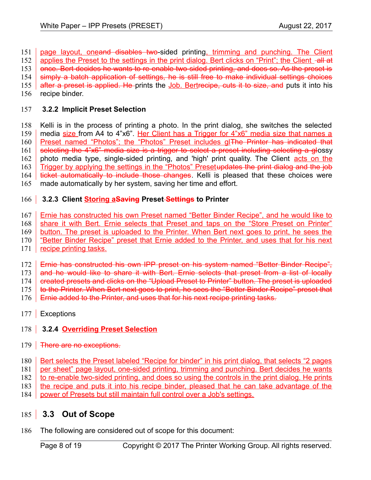page layout, oneand disables two-sided printing, trimming and punching. The Client 151

applies the Preset to the settings in the print dialog. Bert clicks on "Print"; the Client -all at 152

once. Bert decides he wants to re-enable two-sided printing, and does so. As the preset is 153

simply a batch application of settings, he is still free to make individual settings choices 154

after a preset is applied. He prints the Job. Bertrecipe, cuts it to size, and puts it into his 155

recipe binder. 156

#### <span id="page-7-4"></span> **3.2.2 Implicit Preset Selection** 157

Kelli is in the process of printing a photo. In the print dialog, she switches the selected media size from A4 to 4"x6". Her Client has a Trigger for 4"x6" media size that names a Preset named "Photos"; the "Photos" Preset includes gl The Printer has indicated that selecting the 4"x6" media size is a trigger to select a preset including selecting a glossy photo media type, single-sided printing, and 'high' print quality. The Client acts on the Trigger by applying the settings in the "Photos" Presetupdates the print dialog and the job ticket automatically to include those changes. Kelli is pleased that these choices were made automatically by her system, saving her time and effort. 158 159 160 161 162 163 164 165

### <span id="page-7-3"></span> **3.2.3 Client Storing aSaving Preset Settings to Printer** 166

- Ernie has constructed his own Preset named "Better Binder Recipe", and he would like to 167
- share it with Bert. Ernie selects that Preset and taps on the "Store Preset on Printer" 168
- button. The preset is uploaded to the Printer. When Bert next goes to print, he sees the 169
- "Better Binder Recipe" preset that Ernie added to the Printer, and uses that for his next 170
- recipe printing tasks. 171
- Ernie has constructed his own IPP preset on his system named "Better Binder Recipe", 172
- and he would like to share it with Bert. Ernie selects that preset from a list of locally 173

created presets and clicks on the "Upload Preset to Printer" button. The preset is uploaded 174

to the Printer. When Bert next goes to print, he sees the "Better Binder Recipe" preset that 175

- Ernie added to the Printer, and uses that for his next recipe printing tasks. 176
- <span id="page-7-2"></span>177 | Exceptions

### <span id="page-7-1"></span> **3.2.4 Overriding Preset Selection** 178

- 179 **There are no exceptions.**
- Bert selects the Preset labeled "Recipe for binder" in his print dialog, that selects "2 pages 180
- per sheet" page layout, one-sided printing, trimming and punching. Bert decides he wants 181
- to re-enable two-sided printing, and does so using the controls in the print dialog. He prints 182
- the recipe and puts it into his recipe binder, pleased that he can take advantage of the 183
- power of Presets but still maintain full control over a Job's settings. 184

### <span id="page-7-0"></span> **3.3 Out of Scope** 185

The following are considered out of scope for this document: 186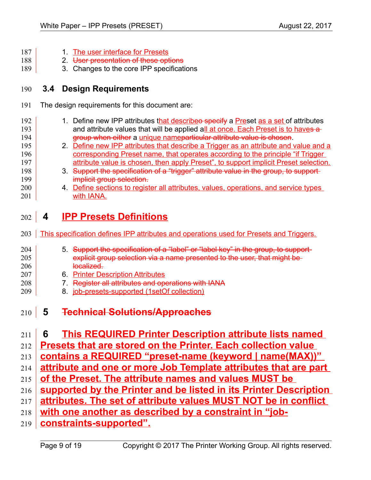- 1. The user interface for Presets 187
- 2. User presentation of these options 188
- 3. Changes to the core IPP specifications 189

### <span id="page-8-3"></span> **3.4 Design Requirements** 190

<span id="page-8-0"></span>209

The design requirements for this document are: 191

| 192 | 1. Define new IPP attributes that describeo specify a Preset as a set of attributes |
|-----|-------------------------------------------------------------------------------------|
| 193 | and attribute values that will be applied all at once. Each Preset is to haves a    |
| 194 | group when either a unique nameparticular attribute value is chosen.                |
| 195 | 2. Define new IPP attributes that describe a Trigger as an attribute and value and  |

- 2. Define new IPP attributes that describe a Trigger as an attribute and value and a corresponding Preset name, that operates according to the principle "if Trigger attribute value is chosen, then apply Preset", to support implicit Preset selection.
- 3. Support the specification of a "trigger" attribute value in the group, to support implicit group selection.
- 4. Define sections to register all attributes, values, operations, and service types with IANA. 200 201

### <span id="page-8-2"></span> **4 IPP Presets Definitions** 202

203 This specification defines IPP attributes and operations used for Presets and Triggers.

| 204      | 5. Support the specification of a "label" or "label key" in the group, to support- |
|----------|------------------------------------------------------------------------------------|
| 205      | explicit group selection via a name presented to the user, that might be           |
| 206      | localized.                                                                         |
| $\Omega$ | C. Drinton Decembrican Attributes                                                  |

- <span id="page-8-1"></span>6. Printer Description Attributes 207 208
	- 7. Register all attributes and operations with IANA
	- 8. job-presets-supported (1setOf collection)
- **5 Technical Solutions/Approaches** 210
- **6 This REQUIRED Printer Description attribute lists named**  211

**Presets that are stored on the Printer. Each collection value**  212

**contains a REQUIRED "preset-name (keyword | name(MAX))"**  213

- **attribute and one or more Job Template attributes that are part**  214
- **of the Preset. The attribute names and values MUST be**  215
- **supported by the Printer and be listed in its Printer Description**  216
- **attributes. The set of attribute values MUST NOT be in conflict**  217
- **with one another as described by a constraint in "job-**218
- **constraints-supported".** 219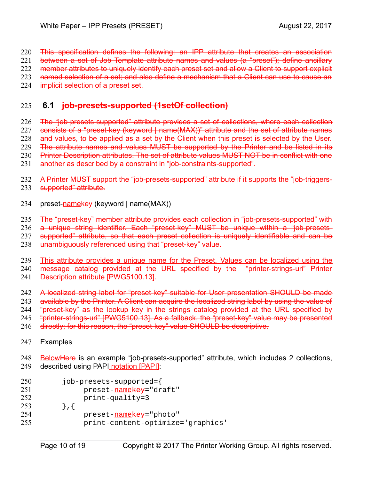- This specification defines the following: an IPP attribute that creates an association 220
- between a set of Job Template attribute names and values (a "preset"); define ancillary 221
- member attributes to uniquely identify each preset set and allow a Client to support explicit 222
- named selection of a set; and also define a mechanism that a Client can use to cause an 223
- implicit selection of a preset set. 224

## **6.1 job-presets-supported (1setOf collection)** 225

- The "job-presets-supported" attribute provides a set of collections, where each collection consists of a "preset-key (keyword | name(MAX))" attribute and the set of attribute names and values, to be applied as a set by the Client when this preset is selected by the User. The attribute names and values MUST be supported by the Printer and be listed in its Printer Description attributes. The set of attribute values MUST NOT be in conflict with one 226 227 228 229 230
- another as described by a constraint in "job-constraints-supported". 231
- 232 A Printer MUST support the "job-presets-supported" attribute if it supports the "job-triggers-
- 233 S<del>upported" attribute.</del>
- <span id="page-9-0"></span>234 preset-<u>name</u>ke<del>y</del> (keyword | name(MAX))
- The "preset-key" member attribute provides each collection in "job-presets-supported" with 235
- a unique string identifier. Each "preset-key" MUST be unique within a "job-presets-236
- supported" attribute, so that each preset collection is uniquely identifiable and can be 237
- unambiguously referenced using that "preset-key" value. 238
- This attribute provides a unique name for the Preset. Values can be localized using the message catalog provided at the URL specified by the "printer-strings-uri" Printer Description attribute [\[PWG5100.13\].](#page-14-4) 239 240 241
- A localized string label for "preset-key" suitable for User presentation SHOULD be made available by the Printer. A Client can acquire the localized string label by using the value of "preset-key" as the lookup key in the strings catalog provided at the URL specified by 242 243 244
- "printer-strings-uri" [\[PWG5100.13\].](#page-14-4) As a fallback, the "preset-key" value may be presented
- directly; for this reason, the "preset-key" value SHOULD be descriptive. 245 246
- 247 | Examples
- Below Here is an example "job-presets-supported" attribute, which includes 2 collections, described using PAPI notation [\[PAPI\]:](#page-15-3) 248 249
- job-presets-supported={ 250
- preset-namekey="draft"  $251$
- print-quality=3 252
- },{ 253
- preset-namekey="photo" 254
- print-content-optimize='graphics' 255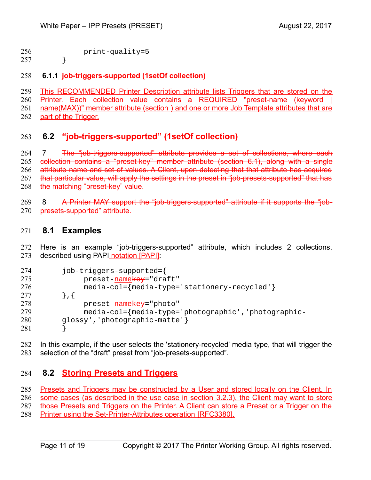print-quality=5 256

} 257

### <span id="page-10-1"></span> **6.1.1 job-triggers-supported (1setOf collection)** 258

This RECOMMENDED Printer Description attribute lists Triggers that are stored on the Printer. Each collection value contains a REQUIRED "preset-name (keyword | name(MAX))" member attribute (section [\)](#page-9-0) and one or more Job Template attributes that are part of the Trigger. 259 260 261 262

### **6.2 "job-triggers-supported" (1setOf collection)** 263

 7 The "job-triggers-supported" attribute provides a set of collections, where each collection contains a "preset-key" member attribute (section [6.1\)](#page-9-0), along with a single attribute name and set of values. A Client, upon detecting that that attribute has acquired that particular value, will apply the settings in the preset in "job-presets-supported" that has the matching "preset-key" value. 264 265 266 267 268

8 A Printer MAY support the "job-triggers-supported" attribute if it supports the "job-270 presets-supported" attribute. 269

### **8.1 Examples** 271

Here is an example "job-triggers-supported" attribute, which includes 2 collections, 273 described using PAPI notation [\[PAPI\]:](#page-15-3) 272

| 274 | job-triggers-supported={                                                     |
|-----|------------------------------------------------------------------------------|
| 275 | preset-namekey="draft"                                                       |
| 276 | $media\text{-}col=\{media\text{-}type\text{-}'stationery\text{-}recycled'\}$ |
| 277 | $\}$ , {                                                                     |
| 278 | preset-namekey="photo"                                                       |
| 279 | media-col={media-type='photographic','photographic-                          |
| 280 | glossy', 'photographic-matte'}                                               |
| 281 |                                                                              |

In this example, if the user selects the 'stationery-recycled' media type, that will trigger the selection of the "draft" preset from "job-presets-supported". 282 283

## <span id="page-10-0"></span> **8.2 Storing Presets and Triggers** 284

Presets and Triggers may be constructed by a User and stored locally on the Client. In some cases (as described in the use case in section [3.2.3\)](#page-7-3), the Client may want to store those Presets and Triggers on the Printer. A Client can store a Preset or a Trigger on the Printer using the Set-Printer-Attributes operation [\[RFC3380\].](#page-14-5) 285 286 287 288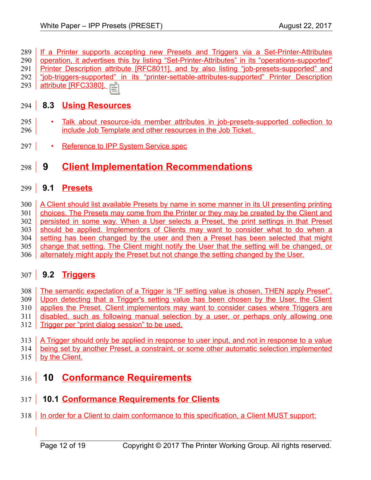If a Printer supports accepting new Presets and Triggers via a Set-Printer-Attributes operation, it advertises this by listing "Set-Printer-Attributes" in its "operations-supported" Printer Description attribute [\[RFC8011\],](#page-15-2) and by also listing "job-presets-supported" and "job-triggers-supported" in its "printer-settable-attributes-supported" Printer Description 289 290 291 292

attribute [\[RFC3380\].](#page-14-5) 293

### <span id="page-11-5"></span> **8.3 Using Resources** 294

- Talk about resource-ids member attributes in job-presets-supported collection to include Job Template and other resources in the Job Ticket. 295 296
- Reference to IPP System Service spec 297

### <span id="page-11-4"></span> **9 Client Implementation Recommendations** 298

### <span id="page-11-3"></span> **9.1 Presets** 299

A Client should list available Presets by name in some manner in its UI presenting printing choices. The Presets may come from the Printer or they may be created by the Client and persisted in some way. When a User selects a Preset, the print settings in that Preset should be applied. Implementors of Clients may want to consider what to do when a setting has been changed by the user and then a Preset has been selected that might change that setting. The Client might notify the User that the setting will be changed, or alternately might apply the Preset but not change the setting changed by the User. 300 301 302 303 304 305 306

## <span id="page-11-2"></span> **9.2 Triggers** 307

The semantic expectation of a Trigger is "IF setting value is chosen, THEN apply Preset". Upon detecting that a Trigger's setting value has been chosen by the User, the Client applies the Preset. Client implementors may want to consider cases where Triggers are 308 309 310

disabled, such as following manual selection by a user, or perhaps only allowing one 311

- Trigger per "print dialog session" to be used. 312
- A Trigger should only be applied in response to user input, and not in response to a value being set by another Preset, a constraint, or some other automatic selection implemented 313 314
- by the Client. 315

### <span id="page-11-1"></span> **10 Conformance Requirements**  $316$

### <span id="page-11-0"></span> **10.1 Conformance Requirements for Clients** 317

318 | In order for a Client to claim conformance to this specification, a Client MUST support: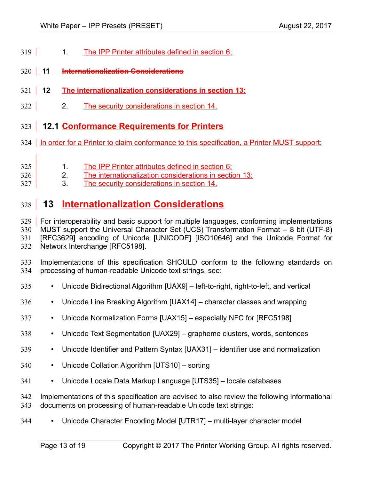- 1. The IPP Printer attributes defined in section [6;](#page-8-1) 319
- **11 Internationalization Considerations**  $320$
- **12 The internationalization considerations in section [13;](#page-12-0)**  $321$
- 2. The security considerations in section [14.](#page-13-3) 322

### <span id="page-12-1"></span> **12.1 Conformance Requirements for Printers**  $323$

- 324 | In order for a Printer to claim conformance to this specification, a Printer MUST support:
- 1. The IPP Printer attributes defined in section [6;](#page-8-1) 325
- 2. The internationalization considerations in section [13;](#page-12-0) 326
- 3. The security considerations in section [14.](#page-13-3) 327

### <span id="page-12-0"></span> **13 Internationalization Considerations** 328

329 | For interoperability and basic support for multiple languages, conforming implementations MUST support the Universal Character Set (UCS) Transformation Format -- 8 bit (UTF-8) [RFC3629] encoding of Unicode [\[UNICODE\]](#page-15-11) [\[ISO10646\]](#page-14-7) and the Unicode Format for Network Interchange [\[RFC5198\].](#page-14-6) 330 331 332

Implementations of this specification SHOULD conform to the following standards on processing of human-readable Unicode text strings, see: 333 334

- Unicode Bidirectional Algorithm [\[UAX9\]](#page-15-10)  left-to-right, right-to-left, and vertical 335
- Unicode Line Breaking Algorithm [\[UAX14\]](#page-15-9)  character classes and wrapping 336
- Unicode Normalization Forms [\[UAX15\]](#page-15-8)  especially NFC for [\[RFC5198\]](#page-14-6) 337
- Unicode Text Segmentation [\[UAX29\]](#page-15-7)  grapheme clusters, words, sentences 338
- Unicode Identifier and Pattern Syntax [\[UAX31\]](#page-15-6)  identifier use and normalization 339
- Unicode Collation Algorithm [\[UTS10\]](#page-15-5)  sorting 340
- Unicode Locale Data Markup Language [\[UTS35\]](#page-15-4)  locale databases 341

Implementations of this specification are advised to also review the following informational documents on processing of human-readable Unicode text strings: 342 343

• Unicode Character Encoding Model [\[UTR17\]](#page-16-2) – multi-layer character model 344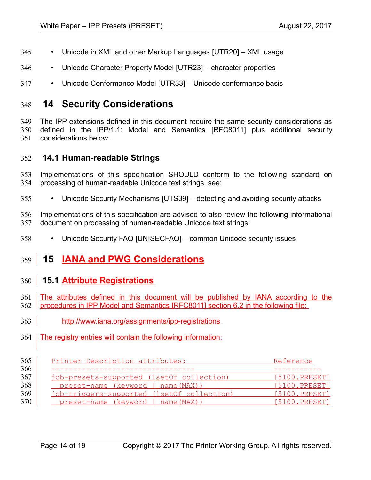- Unicode in XML and other Markup Languages [\[UTR20\]](#page-16-6)  XML usage 345
- Unicode Character Property Model [\[UTR23\]](#page-16-5)  character properties 346
- Unicode Conformance Model [\[UTR33\]](#page-16-4)  Unicode conformance basis 347

### <span id="page-13-3"></span> **14 Security Considerations** 348

The IPP extensions defined in this document require the same security considerations as defined in the IPP/1.1: Model and Semantics [\[RFC8011\]](#page-15-2) plus additional security considerations below . 349 350 351

### <span id="page-13-2"></span> **14.1 Human-readable Strings**  352

Implementations of this specification SHOULD conform to the following standard on processing of human-readable Unicode text strings, see: 353 354

• Unicode Security Mechanisms [\[UTS39\]](#page-15-12) – detecting and avoiding security attacks 355

Implementations of this specification are advised to also review the following informational document on processing of human-readable Unicode text strings: 356 357

• Unicode Security FAQ [\[UNISECFAQ\]](#page-16-3) – common Unicode security issues 358

### <span id="page-13-1"></span> **15 IANA and PWG Considerations** 359

### <span id="page-13-0"></span> **15.1 Attribute Registrations** 360

- The attributes defined in this document will be published by IANA according to the 362 procedures in IPP Model and Semantics [RFC8011] section 6.2 in the following file: 361
- <http://www.iana.org/assignments/ipp-registrations> 363
- The registry entries will contain the following information: 364

| Printer Description attributes:            | Reference     |  |
|--------------------------------------------|---------------|--|
|                                            |               |  |
| job-presets-supported (1setOf collection)  | [5100.PRESET] |  |
| preset-name (keyword   name (MAX))         | [5100.PRESET] |  |
| job-triggers-supported (1setOf collection) | [5100.PRESET] |  |
| preset-name (keyword   name(MAX))          | [5100.PRESET] |  |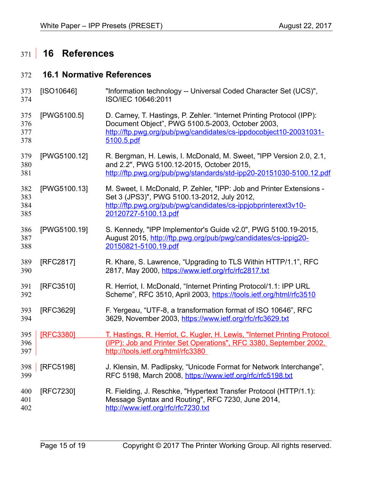# <span id="page-14-1"></span> **16 References** 371

### <span id="page-14-0"></span> **16.1 Normative References** 372

<span id="page-14-7"></span><span id="page-14-6"></span><span id="page-14-5"></span><span id="page-14-4"></span><span id="page-14-3"></span><span id="page-14-2"></span>

| 373<br>374               | [ SO10646]   | "Information technology -- Universal Coded Character Set (UCS)",<br>ISO/IEC 10646:2011                                                                                                                        |
|--------------------------|--------------|---------------------------------------------------------------------------------------------------------------------------------------------------------------------------------------------------------------|
| 375<br>376<br>377<br>378 | [PWG5100.5]  | D. Carney, T. Hastings, P. Zehler. "Internet Printing Protocol (IPP):<br>Document Object", PWG 5100.5-2003, October 2003,<br>http://ftp.pwg.org/pub/pwg/candidates/cs-ippdocobject10-20031031-<br>5100.5.pdf  |
| 379<br>380<br>381        | [PWG5100.12] | R. Bergman, H. Lewis, I. McDonald, M. Sweet, "IPP Version 2.0, 2.1,<br>and 2.2", PWG 5100.12-2015, October 2015,<br>http://ftp.pwg.org/pub/pwg/standards/std-ipp20-20151030-5100.12.pdf                       |
| 382<br>383<br>384<br>385 | [PWG5100.13] | M. Sweet, I. McDonald, P. Zehler, "IPP: Job and Printer Extensions -<br>Set 3 (JPS3)", PWG 5100.13-2012, July 2012,<br>http://ftp.pwg.org/pub/pwg/candidates/cs-ippjobprinterext3v10-<br>20120727-5100.13.pdf |
| 386<br>387<br>388        | [PWG5100.19] | S. Kennedy, "IPP Implementor's Guide v2.0", PWG 5100.19-2015,<br>August 2015, http://ftp.pwg.org/pub/pwg/candidates/cs-ippig20-<br>20150821-5100.19.pdf                                                       |
| 389<br>390               | [RFC2817]    | R. Khare, S. Lawrence, "Upgrading to TLS Within HTTP/1.1", RFC<br>2817, May 2000, https://www.ietf.org/rfc/rfc2817.txt                                                                                        |
| 391<br>392               | [RFC3510]    | R. Herriot, I. McDonald, "Internet Printing Protocol/1.1: IPP URL<br>Scheme", RFC 3510, April 2003, https://tools.ietf.org/html/rfc3510                                                                       |
| 393<br>394               | [RFC3629]    | F. Yergeau, "UTF-8, a transformation format of ISO 10646", RFC<br>3629, November 2003, https://www.ietf.org/rfc/rfc3629.txt                                                                                   |
| 395<br>396<br>397        | [RFC3380]    | T. Hastings, R. Herriot, C. Kugler, H. Lewis, "Internet Printing Protocol<br>(IPP): Job and Printer Set Operations", RFC 3380, September 2002,<br>http://tools.ietf.org/html/rfc3380                          |
| 398<br>399               | [RFC5198]    | J. Klensin, M. Padlipsky, "Unicode Format for Network Interchange",<br>RFC 5198, March 2008, https://www.ietf.org/rfc/rfc5198.txt                                                                             |
| 400<br>401<br>402        | [RFC7230]    | R. Fielding, J. Reschke, "Hypertext Transfer Protocol (HTTP/1.1):<br>Message Syntax and Routing", RFC 7230, June 2014,<br>http://www.ietf.org/rfc/rfc7230.txt                                                 |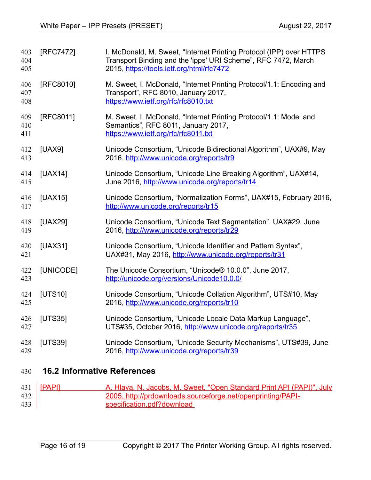<span id="page-15-10"></span><span id="page-15-9"></span><span id="page-15-8"></span><span id="page-15-2"></span><span id="page-15-1"></span>

| 403<br>404<br>405 | [RFC7472] | I. McDonald, M. Sweet, "Internet Printing Protocol (IPP) over HTTPS<br>Transport Binding and the 'ipps' URI Scheme", RFC 7472, March<br>2015, https://tools.ietf.org/html/rfc7472 |
|-------------------|-----------|-----------------------------------------------------------------------------------------------------------------------------------------------------------------------------------|
| 406<br>407<br>408 | [RFC8010] | M. Sweet, I. McDonald, "Internet Printing Protocol/1.1: Encoding and<br>Transport", RFC 8010, January 2017,<br>https://www.ietf.org/rfc/rfc8010.txt                               |
| 409<br>410<br>411 | [RFC8011] | M. Sweet, I. McDonald, "Internet Printing Protocol/1.1: Model and<br>Semantics", RFC 8011, January 2017,<br>https://www.ietf.org/rfc/rfc8011.txt                                  |
| 412<br>413        | [UAX9]    | Unicode Consortium, "Unicode Bidirectional Algorithm", UAX#9, May<br>2016, http://www.unicode.org/reports/tr9                                                                     |
| 414<br>415        | [UAX14]   | Unicode Consortium, "Unicode Line Breaking Algorithm", UAX#14,<br>June 2016, http://www.unicode.org/reports/tr14                                                                  |
| 416<br>417        | [UAX15]   | Unicode Consortium, "Normalization Forms", UAX#15, February 2016,<br>http://www.unicode.org/reports/tr15                                                                          |
| 418<br>419        | [UAX29]   | Unicode Consortium, "Unicode Text Segmentation", UAX#29, June<br>2016, http://www.unicode.org/reports/tr29                                                                        |
| 420<br>421        | [UAX31]   | Unicode Consortium, "Unicode Identifier and Pattern Syntax",<br>UAX#31, May 2016, http://www.unicode.org/reports/tr31                                                             |
| 422<br>423        | [UNICODE] | The Unicode Consortium, "Unicode® 10.0.0", June 2017,<br>http://unicode.org/versions/Unicode10.0.0/                                                                               |
| 424<br>425        | [UTS10]   | Unicode Consortium, "Unicode Collation Algorithm", UTS#10, May<br>2016, http://www.unicode.org/reports/tr10                                                                       |
| 426<br>427        | [UTS35]   | Unicode Consortium, "Unicode Locale Data Markup Language",<br>UTS#35, October 2016, http://www.unicode.org/reports/tr35                                                           |
| 428<br>429        | [UTS39]   | Unicode Consortium, "Unicode Security Mechanisms", UTS#39, June<br>2016, http://www.unicode.org/reports/tr39                                                                      |

### <span id="page-15-12"></span><span id="page-15-11"></span><span id="page-15-7"></span><span id="page-15-6"></span><span id="page-15-5"></span><span id="page-15-4"></span><span id="page-15-0"></span> **16.2 Informative References** 430

<span id="page-15-3"></span>

|     | 431   <b>[PAPI]</b> | A. Hlava, N. Jacobs, M. Sweet, "Open Standard Print API (PAPI)", July |
|-----|---------------------|-----------------------------------------------------------------------|
| 432 |                     | 2005, http://prdownloads.sourceforge.net/openprinting/PAPI-           |
| 433 |                     | specification.pdf?download                                            |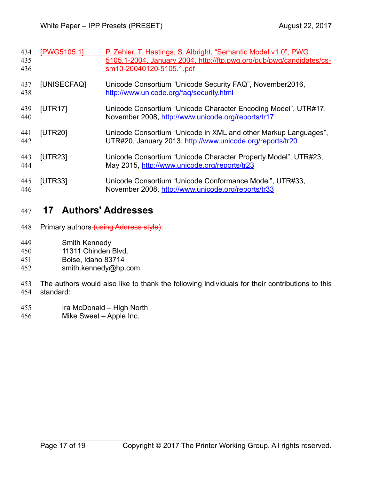<span id="page-16-3"></span><span id="page-16-2"></span><span id="page-16-1"></span>

| 434<br>435<br>436 | [PWG5105.1] | P. Zehler, T. Hastings, S. Albright, "Semantic Model v1.0", PWG<br>5105.1-2004, January 2004, http://ftp.pwg.org/pub/pwg/candidates/cs-<br>sm10-20040120-5105.1.pdf |
|-------------------|-------------|---------------------------------------------------------------------------------------------------------------------------------------------------------------------|
| 437<br>438        | [UNISECFAQ] | Unicode Consortium "Unicode Security FAQ", November2016,<br>http://www.unicode.org/fag/security.html                                                                |
| 439<br>440        | [UTR17]     | Unicode Consortium "Unicode Character Encoding Model", UTR#17,<br>November 2008, http://www.unicode.org/reports/tr17                                                |
| 441<br>442        | [UTR20]     | Unicode Consortium "Unicode in XML and other Markup Languages",<br>UTR#20, January 2013, http://www.unicode.org/reports/tr20                                        |
| 443<br>444        | [UTR23]     | Unicode Consortium "Unicode Character Property Model", UTR#23,<br>May 2015, http://www.unicode.org/reports/tr23                                                     |
| 445<br>446        | [UTR33]     | Unicode Consortium "Unicode Conformance Model", UTR#33,<br>November 2008, http://www.unicode.org/reports/tr33                                                       |

### <span id="page-16-6"></span><span id="page-16-5"></span><span id="page-16-4"></span><span id="page-16-0"></span> **17 Authors' Addresses** 447

- 448 Primary authors (using Address style).
- Smith Kennedy 449
- 11311 Chinden Blvd. 450
- Boise, Idaho 83714 451
- smith.kennedy@hp.com 452
- The authors would also like to thank the following individuals for their contributions to this standard: 453 454
- Ira McDonald High North 455
- Mike Sweet Apple Inc. 456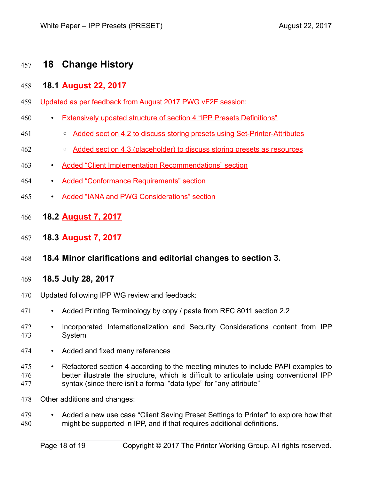### <span id="page-17-3"></span> **18 Change History** 457

### <span id="page-17-2"></span> **18.1 August 22, 2017** 458

- 459 Updated as per feedback from August 2017 PWG vF2F session:
- Extensively updated structure of section 4 "IPP Presets Definitions" 460
- Added section 4.2 to discuss storing presets using Set-Printer-Attributes 461
- Added section 4.3 (placeholder) to discuss storing presets as resources 462
- Added "Client Implementation Recommendations" section  $463$
- Added "Conformance Requirements" section 464
- Added "IANA and PWG Considerations" section 465
- <span id="page-17-1"></span> **18.2 August 7, 2017** 466
- **18.3 August 7, 2017**  $467$
- **18.4 Minor clarifications and editorial changes to section 3.** 468
- <span id="page-17-0"></span> **18.5 July 28, 2017** 469
- Updated following IPP WG review and feedback: 470
- Added Printing Terminology by copy / paste from RFC 8011 section 2.2 471
- Incorporated Internationalization and Security Considerations content from IPP System 472 473
- Added and fixed many references 474
- Refactored section 4 according to the meeting minutes to include PAPI examples to better illustrate the structure, which is difficult to articulate using conventional IPP syntax (since there isn't a formal "data type" for "any attribute" 475 476 477
- Other additions and changes: 478
- Added a new use case "Client Saving Preset Settings to Printer" to explore how that might be supported in IPP, and if that requires additional definitions. 479 480